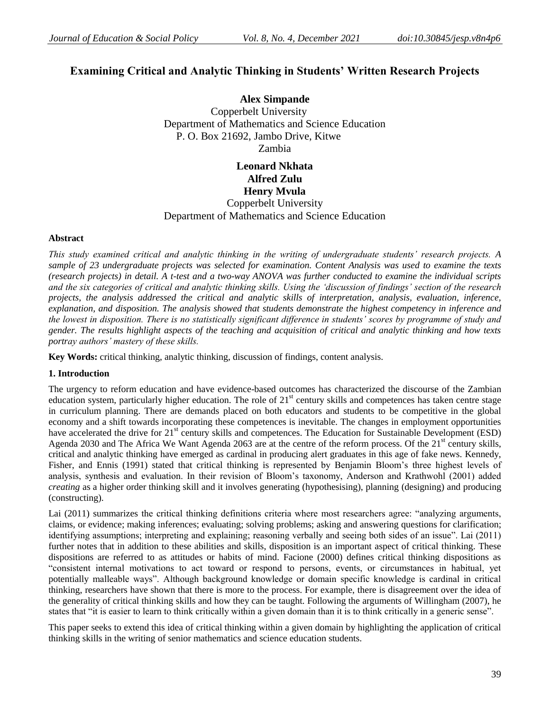# **Examining Critical and Analytic Thinking in Students' Written Research Projects**

**Alex Simpande** Copperbelt University Department of Mathematics and Science Education P. O. Box 21692, Jambo Drive, Kitwe Zambia

> **Leonard Nkhata Alfred Zulu Henry Mvula** Copperbelt University

Department of Mathematics and Science Education

# **Abstract**

*This study examined critical and analytic thinking in the writing of undergraduate students" research projects. A sample of 23 undergraduate projects was selected for examination. Content Analysis was used to examine the texts (research projects) in detail. A t-test and a two-way ANOVA was further conducted to examine the individual scripts and the six categories of critical and analytic thinking skills. Using the "discussion of findings" section of the research projects, the analysis addressed the critical and analytic skills of interpretation, analysis, evaluation, inference, explanation, and disposition. The analysis showed that students demonstrate the highest competency in inference and the lowest in disposition. There is no statistically significant difference in students" scores by programme of study and gender. The results highlight aspects of the teaching and acquisition of critical and analytic thinking and how texts portray authors" mastery of these skills.* 

**Key Words:** critical thinking, analytic thinking, discussion of findings, content analysis.

# **1. Introduction**

The urgency to reform education and have evidence-based outcomes has characterized the discourse of the Zambian education system, particularly higher education. The role of  $21<sup>st</sup>$  century skills and competences has taken centre stage in curriculum planning. There are demands placed on both educators and students to be competitive in the global economy and a shift towards incorporating these competences is inevitable. The changes in employment opportunities have accelerated the drive for 21<sup>st</sup> century skills and competences. The Education for Sustainable Development (ESD) Agenda 2030 and The Africa We Want Agenda 2063 are at the centre of the reform process. Of the 21<sup>st</sup> century skills, critical and analytic thinking have emerged as cardinal in producing alert graduates in this age of fake news. Kennedy, Fisher, and Ennis (1991) stated that critical thinking is represented by Benjamin Bloom"s three highest levels of analysis, synthesis and evaluation. In their revision of Bloom"s taxonomy, Anderson and Krathwohl (2001) added *creating* as a higher order thinking skill and it involves generating (hypothesising), planning (designing) and producing (constructing).

Lai (2011) summarizes the critical thinking definitions criteria where most researchers agree: "analyzing arguments, claims, or evidence; making inferences; evaluating; solving problems; asking and answering questions for clarification; identifying assumptions; interpreting and explaining; reasoning verbally and seeing both sides of an issue". Lai (2011) further notes that in addition to these abilities and skills, disposition is an important aspect of critical thinking. These dispositions are referred to as attitudes or habits of mind. Facione (2000) defines critical thinking dispositions as "consistent internal motivations to act toward or respond to persons, events, or circumstances in habitual, yet potentially malleable ways". Although background knowledge or domain specific knowledge is cardinal in critical thinking, researchers have shown that there is more to the process. For example, there is disagreement over the idea of the generality of critical thinking skills and how they can be taught. Following the arguments of Willingham (2007), he states that "it is easier to learn to think critically within a given domain than it is to think critically in a generic sense".

This paper seeks to extend this idea of critical thinking within a given domain by highlighting the application of critical thinking skills in the writing of senior mathematics and science education students.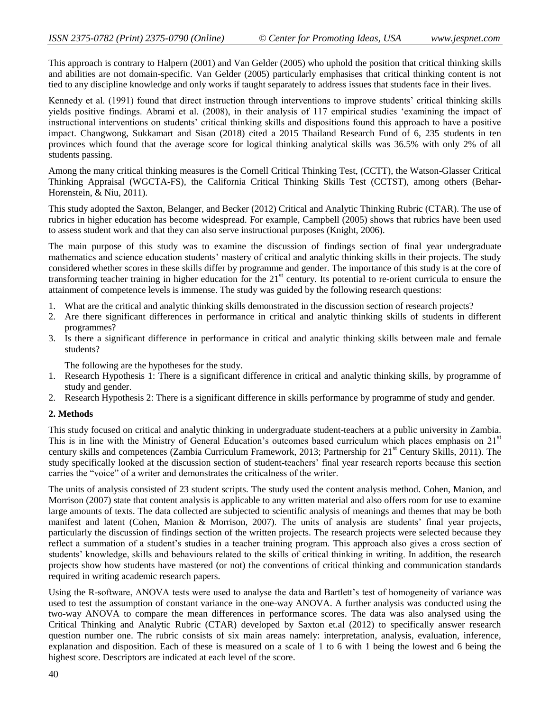This approach is contrary to Halpern (2001) and Van Gelder (2005) who uphold the position that critical thinking skills and abilities are not domain-specific. Van Gelder (2005) particularly emphasises that critical thinking content is not tied to any discipline knowledge and only works if taught separately to address issues that students face in their lives.

Kennedy et al. (1991) found that direct instruction through interventions to improve students" critical thinking skills yields positive findings. Abrami et al. (2008), in their analysis of 117 empirical studies "examining the impact of instructional interventions on students' critical thinking skills and dispositions found this approach to have a positive impact. Changwong, Sukkamart and Sisan (2018) cited a 2015 Thailand Research Fund of 6, 235 students in ten provinces which found that the average score for logical thinking analytical skills was 36.5% with only 2% of all students passing.

Among the many critical thinking measures is the Cornell Critical Thinking Test, (CCTT), the Watson-Glasser Critical Thinking Appraisal (WGCTA-FS), the California Critical Thinking Skills Test (CCTST), among others (Behar-Horenstein, & Niu, 2011).

This study adopted the Saxton, Belanger, and Becker (2012) Critical and Analytic Thinking Rubric (CTAR). The use of rubrics in higher education has become widespread. For example, Campbell (2005) shows that rubrics have been used to assess student work and that they can also serve instructional purposes (Knight, 2006).

The main purpose of this study was to examine the discussion of findings section of final year undergraduate mathematics and science education students' mastery of critical and analytic thinking skills in their projects. The study considered whether scores in these skills differ by programme and gender. The importance of this study is at the core of transforming teacher training in higher education for the  $21<sup>st</sup>$  century. Its potential to re-orient curricula to ensure the attainment of competence levels is immense. The study was guided by the following research questions:

- 1. What are the critical and analytic thinking skills demonstrated in the discussion section of research projects?
- 2. Are there significant differences in performance in critical and analytic thinking skills of students in different programmes?
- 3. Is there a significant difference in performance in critical and analytic thinking skills between male and female students?

The following are the hypotheses for the study.

- 1. Research Hypothesis 1: There is a significant difference in critical and analytic thinking skills, by programme of study and gender.
- 2. Research Hypothesis 2: There is a significant difference in skills performance by programme of study and gender.

# **2. Methods**

This study focused on critical and analytic thinking in undergraduate student-teachers at a public university in Zambia. This is in line with the Ministry of General Education's outcomes based curriculum which places emphasis on 21<sup>st</sup> century skills and competences (Zambia Curriculum Framework, 2013; Partnership for 21<sup>st</sup> Century Skills, 2011). The study specifically looked at the discussion section of student-teachers' final year research reports because this section carries the "voice" of a writer and demonstrates the criticalness of the writer.

The units of analysis consisted of 23 student scripts. The study used the content analysis method. Cohen, Manion, and Morrison (2007) state that content analysis is applicable to any written material and also offers room for use to examine large amounts of texts. The data collected are subjected to scientific analysis of meanings and themes that may be both manifest and latent (Cohen, Manion & Morrison, 2007). The units of analysis are students" final year projects, particularly the discussion of findings section of the written projects. The research projects were selected because they reflect a summation of a student's studies in a teacher training program. This approach also gives a cross section of students" knowledge, skills and behaviours related to the skills of critical thinking in writing. In addition, the research projects show how students have mastered (or not) the conventions of critical thinking and communication standards required in writing academic research papers.

Using the R-software, ANOVA tests were used to analyse the data and Bartlett"s test of homogeneity of variance was used to test the assumption of constant variance in the one-way ANOVA. A further analysis was conducted using the two-way ANOVA to compare the mean differences in performance scores. The data was also analysed using the Critical Thinking and Analytic Rubric (CTAR) developed by Saxton et.al (2012) to specifically answer research question number one. The rubric consists of six main areas namely: interpretation, analysis, evaluation, inference, explanation and disposition. Each of these is measured on a scale of 1 to 6 with 1 being the lowest and 6 being the highest score. Descriptors are indicated at each level of the score.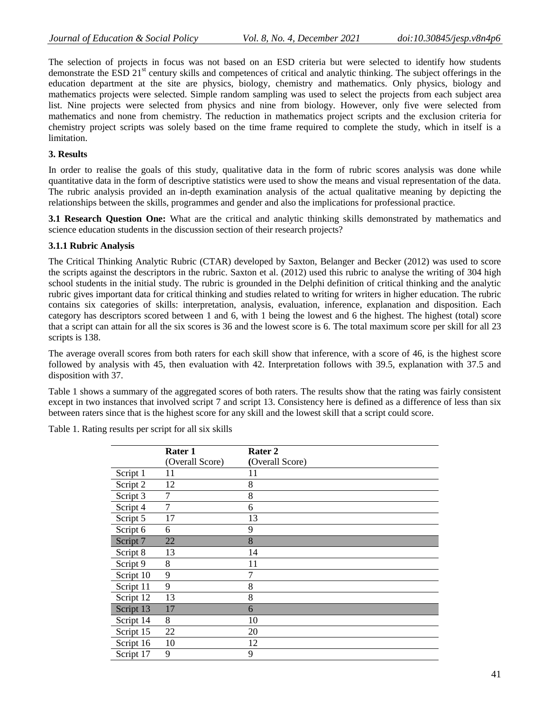The selection of projects in focus was not based on an ESD criteria but were selected to identify how students demonstrate the ESD  $21<sup>st</sup>$  century skills and competences of critical and analytic thinking. The subject offerings in the education department at the site are physics, biology, chemistry and mathematics. Only physics, biology and mathematics projects were selected. Simple random sampling was used to select the projects from each subject area list. Nine projects were selected from physics and nine from biology. However, only five were selected from mathematics and none from chemistry. The reduction in mathematics project scripts and the exclusion criteria for chemistry project scripts was solely based on the time frame required to complete the study, which in itself is a limitation.

# **3. Results**

In order to realise the goals of this study, qualitative data in the form of rubric scores analysis was done while quantitative data in the form of descriptive statistics were used to show the means and visual representation of the data. The rubric analysis provided an in-depth examination analysis of the actual qualitative meaning by depicting the relationships between the skills, programmes and gender and also the implications for professional practice.

**3.1 Research Question One:** What are the critical and analytic thinking skills demonstrated by mathematics and science education students in the discussion section of their research projects?

# **3.1.1 Rubric Analysis**

The Critical Thinking Analytic Rubric (CTAR) developed by Saxton, Belanger and Becker (2012) was used to score the scripts against the descriptors in the rubric. Saxton et al. (2012) used this rubric to analyse the writing of 304 high school students in the initial study. The rubric is grounded in the Delphi definition of critical thinking and the analytic rubric gives important data for critical thinking and studies related to writing for writers in higher education. The rubric contains six categories of skills: interpretation, analysis, evaluation, inference, explanation and disposition. Each category has descriptors scored between 1 and 6, with 1 being the lowest and 6 the highest. The highest (total) score that a script can attain for all the six scores is 36 and the lowest score is 6. The total maximum score per skill for all 23 scripts is 138.

The average overall scores from both raters for each skill show that inference, with a score of 46, is the highest score followed by analysis with 45, then evaluation with 42. Interpretation follows with 39.5, explanation with 37.5 and disposition with 37.

Table 1 shows a summary of the aggregated scores of both raters. The results show that the rating was fairly consistent except in two instances that involved script 7 and script 13. Consistency here is defined as a difference of less than six between raters since that is the highest score for any skill and the lowest skill that a script could score.

Table 1. Rating results per script for all six skills

|           | Rater 1         | Rater 2         |
|-----------|-----------------|-----------------|
|           | (Overall Score) | (Overall Score) |
| Script 1  | 11              | 11              |
| Script 2  | 12              | 8               |
| Script 3  | 7               | 8               |
| Script 4  | 7               | 6               |
| Script 5  | 17              | 13              |
| Script 6  | 6               | 9               |
| Script 7  | 22              | 8               |
| Script 8  | 13              | 14              |
| Script 9  | 8               | 11              |
| Script 10 | 9               |                 |
| Script 11 | 9               | 8               |
| Script 12 | 13              | 8               |
| Script 13 | 17              | 6               |
| Script 14 | 8               | 10              |
| Script 15 | 22              | 20              |
| Script 16 | 10              | 12              |
| Script 17 | 9               | 9               |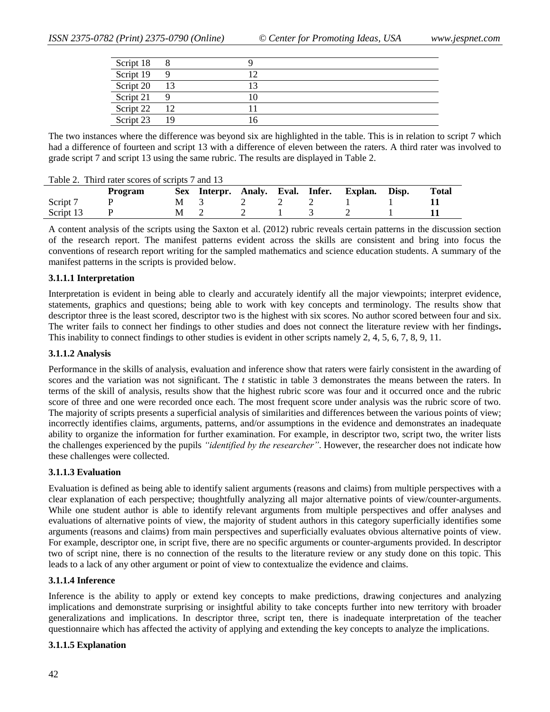| Script 18 | 8   |  |
|-----------|-----|--|
| Script 19 |     |  |
| Script 20 | 13  |  |
| Script 21 |     |  |
| Script 22 | -12 |  |
| Script 23 | -19 |  |

The two instances where the difference was beyond six are highlighted in the table. This is in relation to script 7 which had a difference of fourteen and script 13 with a difference of eleven between the raters. A third rater was involved to grade script 7 and script 13 using the same rubric. The results are displayed in Table 2.

Table 2. Third rater scores of scripts 7 and 13

|           | <b>Program</b> |   |           |       |  | Sex Interpr. Analy. Eval. Infer. Explan. Disp. | <b>Total</b> |
|-----------|----------------|---|-----------|-------|--|------------------------------------------------|--------------|
| Script 7  |                |   | M 3 2 2 2 |       |  | the contract of the contract of the            |              |
| Script 13 |                | M |           | 2 1 3 |  |                                                |              |

A content analysis of the scripts using the Saxton et al. (2012) rubric reveals certain patterns in the discussion section of the research report. The manifest patterns evident across the skills are consistent and bring into focus the conventions of research report writing for the sampled mathematics and science education students. A summary of the manifest patterns in the scripts is provided below.

## **3.1.1.1 Interpretation**

Interpretation is evident in being able to clearly and accurately identify all the major viewpoints; interpret evidence, statements, graphics and questions; being able to work with key concepts and terminology. The results show that descriptor three is the least scored, descriptor two is the highest with six scores. No author scored between four and six. The writer fails to connect her findings to other studies and does not connect the literature review with her findings**.**  This inability to connect findings to other studies is evident in other scripts namely 2, 4, 5, 6, 7, 8, 9, 11.

## **3.1.1.2 Analysis**

Performance in the skills of analysis, evaluation and inference show that raters were fairly consistent in the awarding of scores and the variation was not significant. The *t* statistic in table 3 demonstrates the means between the raters. In terms of the skill of analysis, results show that the highest rubric score was four and it occurred once and the rubric score of three and one were recorded once each. The most frequent score under analysis was the rubric score of two. The majority of scripts presents a superficial analysis of similarities and differences between the various points of view; incorrectly identifies claims, arguments, patterns, and/or assumptions in the evidence and demonstrates an inadequate ability to organize the information for further examination. For example, in descriptor two, script two, the writer lists the challenges experienced by the pupils *"identified by the researcher"*. However, the researcher does not indicate how these challenges were collected.

## **3.1.1.3 Evaluation**

Evaluation is defined as being able to identify salient arguments (reasons and claims) from multiple perspectives with a clear explanation of each perspective; thoughtfully analyzing all major alternative points of view/counter-arguments. While one student author is able to identify relevant arguments from multiple perspectives and offer analyses and evaluations of alternative points of view, the majority of student authors in this category superficially identifies some arguments (reasons and claims) from main perspectives and superficially evaluates obvious alternative points of view. For example, descriptor one, in script five*,* there are no specific arguments or counter-arguments provided. In descriptor two of script nine, there is no connection of the results to the literature review or any study done on this topic. This leads to a lack of any other argument or point of view to contextualize the evidence and claims.

## **3.1.1.4 Inference**

Inference is the ability to apply or extend key concepts to make predictions, drawing conjectures and analyzing implications and demonstrate surprising or insightful ability to take concepts further into new territory with broader generalizations and implications. In descriptor three, script ten, there is inadequate interpretation of the teacher questionnaire which has affected the activity of applying and extending the key concepts to analyze the implications.

## **3.1.1.5 Explanation**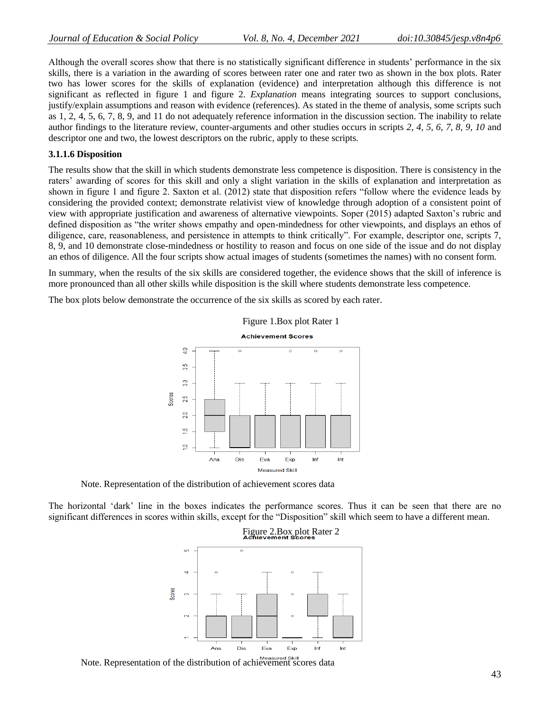Although the overall scores show that there is no statistically significant difference in students" performance in the six skills, there is a variation in the awarding of scores between rater one and rater two as shown in the box plots. Rater two has lower scores for the skills of explanation (evidence) and interpretation although this difference is not significant as reflected in figure 1 and figure 2. *Explanation* means integrating sources to support conclusions, justify/explain assumptions and reason with evidence (references). As stated in the theme of analysis, some scripts such as 1, 2, 4, 5, 6, 7, 8, 9, and 11 do not adequately reference information in the discussion section. The inability to relate author findings to the literature review, counter-arguments and other studies occurs in scripts *2, 4, 5, 6, 7, 8, 9, 10* and descriptor one and two, the lowest descriptors on the rubric, apply to these scripts*.* 

## **3.1.1.6 Disposition**

The results show that the skill in which students demonstrate less competence is disposition. There is consistency in the raters" awarding of scores for this skill and only a slight variation in the skills of explanation and interpretation as shown in figure 1 and figure 2. Saxton et al. (2012) state that disposition refers "follow where the evidence leads by considering the provided context; demonstrate relativist view of knowledge through adoption of a consistent point of view with appropriate justification and awareness of alternative viewpoints. Soper (2015) adapted Saxton"s rubric and defined disposition as "the writer shows empathy and open-mindedness for other viewpoints, and displays an ethos of diligence, care, reasonableness, and persistence in attempts to think critically". For example, descriptor one, scripts 7, 8, 9, and 10 demonstrate close-mindedness or hostility to reason and focus on one side of the issue and do not display an ethos of diligence. All the four scripts show actual images of students (sometimes the names) with no consent form.

In summary, when the results of the six skills are considered together, the evidence shows that the skill of inference is more pronounced than all other skills while disposition is the skill where students demonstrate less competence.

The box plots below demonstrate the occurrence of the six skills as scored by each rater.



Note. Representation of the distribution of achievement scores data

The horizontal "dark" line in the boxes indicates the performance scores. Thus it can be seen that there are no significant differences in scores within skills, except for the "Disposition" skill which seem to have a different mean.



Note. Representation of the distribution of achievement scores data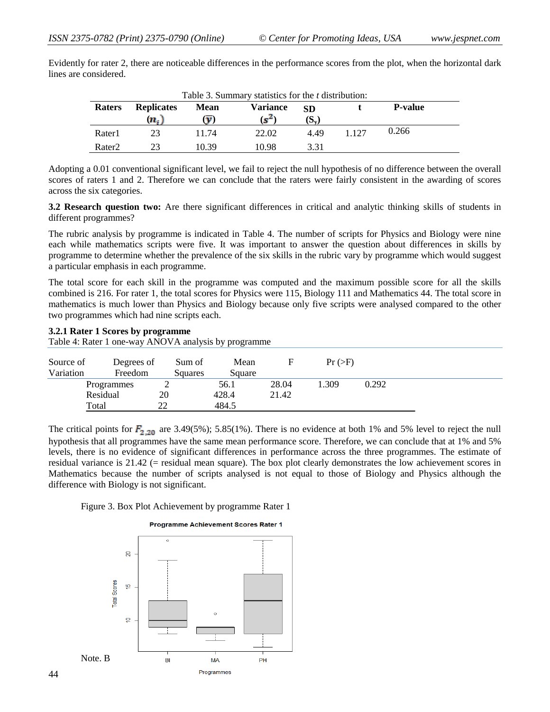|               |                   |             | Table 3. Summary statistics for the <i>t</i> distribution: |           |         |                |
|---------------|-------------------|-------------|------------------------------------------------------------|-----------|---------|----------------|
| <b>Raters</b> | <b>Replicates</b> | <b>Mean</b> | <b>Variance</b>                                            | <b>SD</b> |         | <b>P-value</b> |
|               | $n_{\rm f}$       |             | $\mathbf{e}^{\mathbf{e}}$                                  | $S_v$     |         |                |
| Rater1        |                   | 11 74       | 22.02                                                      | 449       | 1 1 2 7 | 0.266          |

Rater2 23 10.39 10.98 3.31

Evidently for rater 2, there are noticeable differences in the performance scores from the plot, when the horizontal dark lines are considered.

Adopting a 0.01 conventional significant level, we fail to reject the null hypothesis of no difference between the overall scores of raters 1 and 2. Therefore we can conclude that the raters were fairly consistent in the awarding of scores across the six categories.

**3.2 Research question two:** Are there significant differences in critical and analytic thinking skills of students in different programmes?

The rubric analysis by programme is indicated in Table 4. The number of scripts for Physics and Biology were nine each while mathematics scripts were five. It was important to answer the question about differences in skills by programme to determine whether the prevalence of the six skills in the rubric vary by programme which would suggest a particular emphasis in each programme.

The total score for each skill in the programme was computed and the maximum possible score for all the skills combined is 216. For rater 1, the total scores for Physics were 115, Biology 111 and Mathematics 44. The total score in mathematics is much lower than Physics and Biology because only five scripts were analysed compared to the other two programmes which had nine scripts each.

# **3.2.1 Rater 1 Scores by programme**

Table 4: Rater 1 one-way ANOVA analysis by programme

| Source of<br>Variation | Degrees of<br>Freedom | Sum of<br>Squares | Mean<br>Square |       | Pr (>F) |       |
|------------------------|-----------------------|-------------------|----------------|-------|---------|-------|
|                        | Programmes            | ∸                 | 56.1           | 28.04 | .309    | 0.292 |
|                        | Residual              | 20                | 428.4          | 21.42 |         |       |
|                        | Total                 | າາ                | 484.5          |       |         |       |

The critical points for  $F_{2,20}$  are 3.49(5%); 5.85(1%). There is no evidence at both 1% and 5% level to reject the null hypothesis that all programmes have the same mean performance score. Therefore, we can conclude that at 1% and 5% levels, there is no evidence of significant differences in performance across the three programmes. The estimate of residual variance is 21.42 (= residual mean square). The box plot clearly demonstrates the low achievement scores in Mathematics because the number of scripts analysed is not equal to those of Biology and Physics although the difference with Biology is not significant.

Figure 3. Box Plot Achievement by programme Rater 1

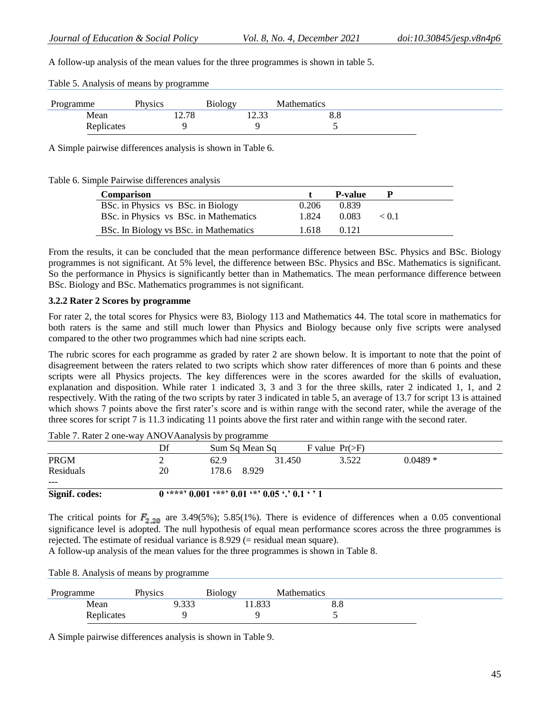A follow-up analysis of the mean values for the three programmes is shown in table 5.

| Table 5. Analysis of means by programme |  |
|-----------------------------------------|--|
|-----------------------------------------|--|

| Programme  | Physics | <b>Biology</b><br>J.  | <b>Mathematics</b> |  |
|------------|---------|-----------------------|--------------------|--|
| Mean       | 12.78   | $. \circ$<br>۔ بہ ہے⊥ | 8.8                |  |
| Replicates |         |                       |                    |  |

A Simple pairwise differences analysis is shown in Table 6.

## Table 6. Simple Pairwise differences analysis

| Comparison                             |       | <b>P-value</b> |           |
|----------------------------------------|-------|----------------|-----------|
| BSc. in Physics vs BSc. in Biology     | 0.206 | 0.839          |           |
| BSc. in Physics vs BSc. in Mathematics | 1.824 | 0.083          | $\lt 0.1$ |
| BSc. In Biology vs BSc. in Mathematics | 1.618 | 0.121          |           |

From the results, it can be concluded that the mean performance difference between BSc. Physics and BSc. Biology programmes is not significant. At 5% level, the difference between BSc. Physics and BSc. Mathematics is significant. So the performance in Physics is significantly better than in Mathematics. The mean performance difference between BSc. Biology and BSc. Mathematics programmes is not significant.

## **3.2.2 Rater 2 Scores by programme**

For rater 2, the total scores for Physics were 83, Biology 113 and Mathematics 44. The total score in mathematics for both raters is the same and still much lower than Physics and Biology because only five scripts were analysed compared to the other two programmes which had nine scripts each.

The rubric scores for each programme as graded by rater 2 are shown below. It is important to note that the point of disagreement between the raters related to two scripts which show rater differences of more than 6 points and these scripts were all Physics projects. The key differences were in the scores awarded for the skills of evaluation, explanation and disposition. While rater 1 indicated 3, 3 and 3 for the three skills, rater 2 indicated 1, 1, and 2 respectively. With the rating of the two scripts by rater 3 indicated in table 5, an average of 13.7 for script 13 is attained which shows 7 points above the first rater's score and is within range with the second rater, while the average of the three scores for script 7 is 11.3 indicating 11 points above the first rater and within range with the second rater.

|                | Df | Sum Sq Mean Sq                                  |        | F value $Pr(\ge F)$ |           |  |
|----------------|----|-------------------------------------------------|--------|---------------------|-----------|--|
| <b>PRGM</b>    |    | 62.9                                            | 31.450 | 3.522               | $0.0489*$ |  |
| Residuals      | 20 | 178.6<br>8.929                                  |        |                     |           |  |
| $---$          |    |                                                 |        |                     |           |  |
| Signif. codes: |    | $0$ '***' 0.001 '**' 0.01 '*' 0.05 '.' 0.1 ' '1 |        |                     |           |  |

Table 7. Rater 2 one-way ANOVAanalysis by programme

The critical points for  $F_{2,20}$  are 3.49(5%); 5.85(1%). There is evidence of differences when a 0.05 conventional significance level is adopted. The null hypothesis of equal mean performance scores across the three programmes is rejected. The estimate of residual variance is 8.929 (= residual mean square).

A follow-up analysis of the mean values for the three programmes is shown in Table 8.

Table 8. Analysis of means by programme

| Programme  | Physics          | <b>Biology</b><br><u>.</u> | <b>Mathematics</b> |  |
|------------|------------------|----------------------------|--------------------|--|
| Mean       | , 332<br>ر ر ر . | 1.833                      | 0.0                |  |
| Replicates |                  |                            |                    |  |

A Simple pairwise differences analysis is shown in Table 9.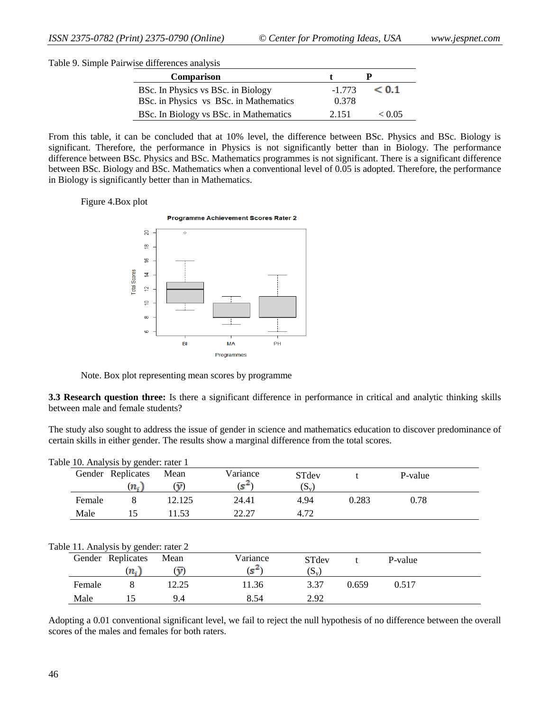Table 9. Simple Pairwise differences analysis

| <b>Comparison</b>                      |          |        |
|----------------------------------------|----------|--------|
| BSc. In Physics vs BSc. in Biology     | $-1.773$ | < 0.1  |
| BSc. in Physics vs BSc. in Mathematics | 0.378    |        |
| BSc. In Biology vs BSc. in Mathematics | 2.151    | < 0.05 |

From this table, it can be concluded that at 10% level, the difference between BSc. Physics and BSc. Biology is significant. Therefore, the performance in Physics is not significantly better than in Biology. The performance difference between BSc. Physics and BSc. Mathematics programmes is not significant. There is a significant difference between BSc. Biology and BSc. Mathematics when a conventional level of 0.05 is adopted. Therefore, the performance in Biology is significantly better than in Mathematics.

Figure 4.Box plot



Note. Box plot representing mean scores by programme

**3.3 Research question three:** Is there a significant difference in performance in critical and analytic thinking skills between male and female students?

The study also sought to address the issue of gender in science and mathematics education to discover predominance of certain skills in either gender. The results show a marginal difference from the total scores.

|        | Table 10. Analysis by gender: rater 1 |                                 |                   |                  |       |         |  |
|--------|---------------------------------------|---------------------------------|-------------------|------------------|-------|---------|--|
|        | Gender Replicates                     | Mean                            | Variance          | STdev            |       | P-value |  |
|        | $(n_i)$                               | $(\overline{\mathbf{v}})$       | $(s^2)$           | $(S_v)$          |       |         |  |
| Female | 8                                     | 12.125                          | 24.41             | 4.94             | 0.283 | 0.78    |  |
| Male   | 15                                    | 11.53                           | 22.27             | 4.72             |       |         |  |
|        |                                       |                                 |                   |                  |       |         |  |
|        | Table 11. Analysis by gender: rater 2 |                                 |                   |                  |       |         |  |
|        | Gender Replicates<br>$(n_i)$          | Mean<br>$\overline{\mathbf{v}}$ | Variance<br>$s^4$ | STdev<br>$(S_v)$ |       | P-value |  |
| Female | 8                                     | 12.25                           | 11.36             | 3.37             | 0.659 | 0.517   |  |

Adopting a 0.01 conventional significant level, we fail to reject the null hypothesis of no difference between the overall scores of the males and females for both raters.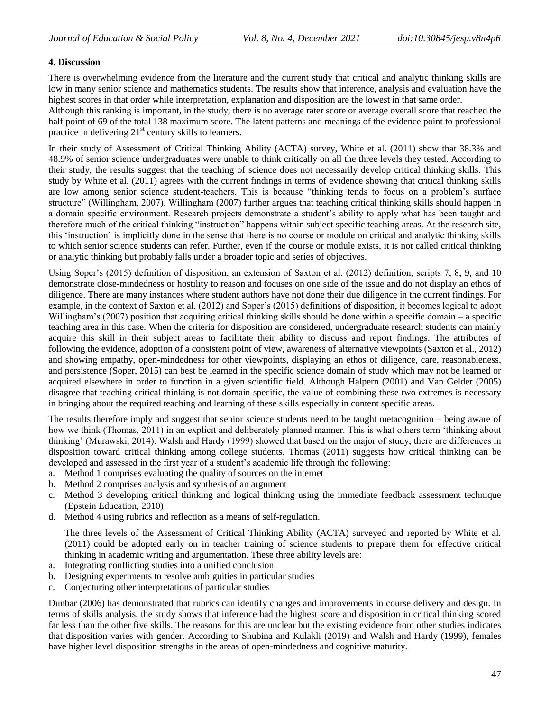# **4. Discussion**

There is overwhelming evidence from the literature and the current study that critical and analytic thinking skills are low in many senior science and mathematics students. The results show that inference, analysis and evaluation have the highest scores in that order while interpretation, explanation and disposition are the lowest in that same order.

Although this ranking is important, in the study, there is no average rater score or average overall score that reached the half point of 69 of the total 138 maximum score. The latent patterns and meanings of the evidence point to professional practice in delivering  $21<sup>st</sup>$  century skills to learners.

In their study of Assessment of Critical Thinking Ability (ACTA) survey, White et al. (2011) show that 38.3% and 48.9% of senior science undergraduates were unable to think critically on all the three levels they tested. According to their study, the results suggest that the teaching of science does not necessarily develop critical thinking skills. This study by White et al. (2011) agrees with the current findings in terms of evidence showing that critical thinking skills are low among senior science student-teachers. This is because "thinking tends to focus on a problem"s surface structure" (Willingham, 2007). Willingham (2007) further argues that teaching critical thinking skills should happen in a domain specific environment. Research projects demonstrate a student"s ability to apply what has been taught and therefore much of the critical thinking "instruction" happens within subject specific teaching areas. At the research site, this "instruction" is implicitly done in the sense that there is no course or module on critical and analytic thinking skills to which senior science students can refer. Further, even if the course or module exists, it is not called critical thinking or analytic thinking but probably falls under a broader topic and series of objectives.

Using Soper's (2015) definition of disposition, an extension of Saxton et al. (2012) definition, scripts 7, 8, 9, and 10 demonstrate close-mindedness or hostility to reason and focuses on one side of the issue and do not display an ethos of diligence. There are many instances where student authors have not done their due diligence in the current findings. For example, in the context of Saxton et al. (2012) and Soper"s (2015) definitions of disposition, it becomes logical to adopt Willingham's (2007) position that acquiring critical thinking skills should be done within a specific domain – a specific teaching area in this case. When the criteria for disposition are considered, undergraduate research students can mainly acquire this skill in their subject areas to facilitate their ability to discuss and report findings. The attributes of following the evidence, adoption of a consistent point of view, awareness of alternative viewpoints (Saxton et al., 2012) and showing empathy, open-mindedness for other viewpoints, displaying an ethos of diligence, care, reasonableness, and persistence (Soper, 2015) can best be learned in the specific science domain of study which may not be learned or acquired elsewhere in order to function in a given scientific field. Although Halpern (2001) and Van Gelder (2005) disagree that teaching critical thinking is not domain specific, the value of combining these two extremes is necessary in bringing about the required teaching and learning of these skills especially in content specific areas.

The results therefore imply and suggest that senior science students need to be taught metacognition – being aware of how we think (Thomas, 2011) in an explicit and deliberately planned manner. This is what others term "thinking about thinking" (Murawski, 2014). Walsh and Hardy (1999) showed that based on the major of study, there are differences in disposition toward critical thinking among college students. Thomas (2011) suggests how critical thinking can be developed and assessed in the first year of a student's academic life through the following:

- a. Method 1 comprises evaluating the quality of sources on the internet
- b. Method 2 comprises analysis and synthesis of an argument
- c. Method 3 developing critical thinking and logical thinking using the immediate feedback assessment technique (Epstein Education, 2010)
- d. Method 4 using rubrics and reflection as a means of self-regulation.

The three levels of the Assessment of Critical Thinking Ability (ACTA) surveyed and reported by White et al. (2011) could be adopted early on in teacher training of science students to prepare them for effective critical thinking in academic writing and argumentation. These three ability levels are:

- a. Integrating conflicting studies into a unified conclusion
- b. Designing experiments to resolve ambiguities in particular studies
- c. Conjecturing other interpretations of particular studies

Dunbar (2006) has demonstrated that rubrics can identify changes and improvements in course delivery and design. In terms of skills analysis, the study shows that inference had the highest score and disposition in critical thinking scored far less than the other five skills. The reasons for this are unclear but the existing evidence from other studies indicates that disposition varies with gender. According to Shubina and Kulakli (2019) and Walsh and Hardy (1999), females have higher level disposition strengths in the areas of open-mindedness and cognitive maturity.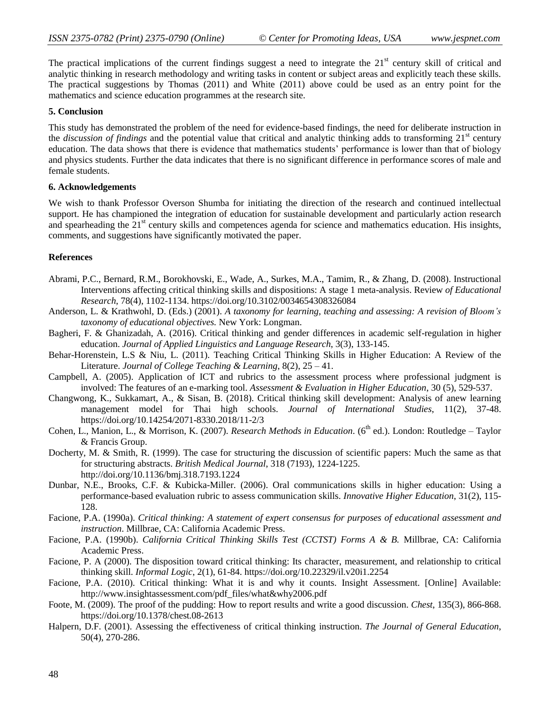The practical implications of the current findings suggest a need to integrate the  $21<sup>st</sup>$  century skill of critical and analytic thinking in research methodology and writing tasks in content or subject areas and explicitly teach these skills. The practical suggestions by Thomas (2011) and White (2011) above could be used as an entry point for the mathematics and science education programmes at the research site.

#### **5. Conclusion**

This study has demonstrated the problem of the need for evidence-based findings, the need for deliberate instruction in the *discussion of findings* and the potential value that critical and analytic thinking adds to transforming 21<sup>st</sup> century education. The data shows that there is evidence that mathematics students" performance is lower than that of biology and physics students. Further the data indicates that there is no significant difference in performance scores of male and female students.

## **6. Acknowledgements**

We wish to thank Professor Overson Shumba for initiating the direction of the research and continued intellectual support. He has championed the integration of education for sustainable development and particularly action research and spearheading the  $21<sup>st</sup>$  century skills and competences agenda for science and mathematics education. His insights, comments, and suggestions have significantly motivated the paper.

## **References**

- Abrami, P.C., Bernard, R.M., Borokhovski, E., Wade, A., Surkes, M.A., Tamim, R., & Zhang, D. (2008). Instructional Interventions affecting critical thinking skills and dispositions: A stage 1 meta-analysis. Review *of Educational Research*, 78(4), 1102-1134.<https://doi.org/10.3102/0034654308326084>
- Anderson, L. & Krathwohl, D. (Eds.) (2001). *A taxonomy for learning, teaching and assessing: A revision of Bloom"s taxonomy of educational objectives.* New York: Longman.
- Bagheri, F. & Ghanizadah, A. (2016). Critical thinking and gender differences in academic self-regulation in higher education. *Journal of Applied Linguistics and Language Research*, 3(3), 133-145.
- Behar-Horenstein, L.S & Niu, L. (2011). Teaching Critical Thinking Skills in Higher Education: A Review of the Literature. *Journal of College Teaching & Learning*, 8(2), 25 – 41.
- Campbell, A. (2005). Application of ICT and rubrics to the assessment process where professional judgment is involved: The features of an e-marking tool. *Assessment & Evaluation in Higher Education*, 30 (5), 529-537.
- Changwong, K., Sukkamart, A., & Sisan, B. (2018). Critical thinking skill development: Analysis of anew learning management model for Thai high schools. *Journal of International Studies*, 11(2), 37-48. <https://doi.org/10.14254/2071-8330.2018/11-2/3>
- Cohen, L., Manion, L., & Morrison, K. (2007). *Research Methods in Education*. (6<sup>th</sup> ed.). London: Routledge Taylor & Francis Group.
- Docherty, M. & Smith, R. (1999). The case for structuring the discussion of scientific papers: Much the same as that for structuring abstracts. *British Medical Journal*, 318 (7193), 1224-1225. <http://doi.org/10.1136/bmj.318.7193.1224>
- Dunbar, N.E., Brooks, C.F. & Kubicka-Miller. (2006). Oral communications skills in higher education: Using a performance-based evaluation rubric to assess communication skills. *Innovative Higher Education*, 31(2), 115- 128.
- Facione, P.A. (1990a). *Critical thinking: A statement of expert consensus for purposes of educational assessment and instruction*. Millbrae, CA: California Academic Press.
- Facione, P.A. (1990b). *California Critical Thinking Skills Test (CCTST) Forms A & B.* Millbrae, CA: California Academic Press.
- Facione, P. A (2000). The disposition toward critical thinking: Its character, measurement, and relationship to critical thinking skill. *Informal Logic*, 2(1), 61-84.<https://doi.org/10.22329/il.v20i1.2254>
- Facione, P.A. (2010). Critical thinking: What it is and why it counts. Insight Assessment. [Online] Available: [http://www.insightassessment.com/pdf\\_files/what&why2006.pdf](http://www.insightassessment.com/pdf_files/what&why2006.pdf)
- Foote, M. (2009). The proof of the pudding: How to report results and write a good discussion. *Chest*, 135(3), 866-868. <https://doi.org/10.1378/chest.08-2613>
- Halpern, D.F. (2001). Assessing the effectiveness of critical thinking instruction. *The Journal of General Education*, 50(4), 270-286.